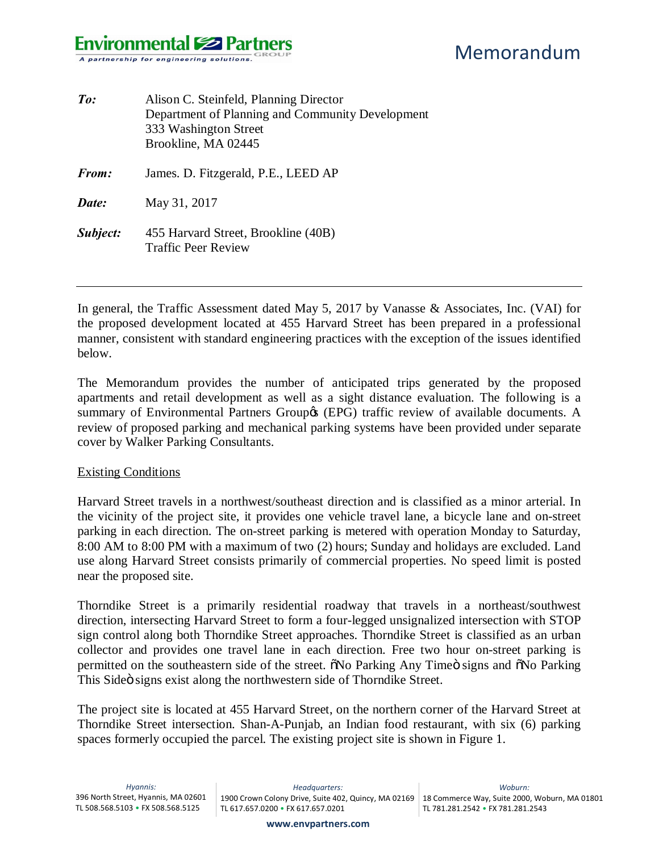| $\mathit{To}$ : | Alison C. Steinfeld, Planning Director<br>Department of Planning and Community Development<br>333 Washington Street<br>Brookline, MA 02445 |
|-----------------|--------------------------------------------------------------------------------------------------------------------------------------------|
| From:           | James. D. Fitzgerald, P.E., LEED AP                                                                                                        |
| Date:           | May 31, 2017                                                                                                                               |
| Subject:        | 455 Harvard Street, Brookline (40B)<br><b>Traffic Peer Review</b>                                                                          |

In general, the Traffic Assessment dated May 5, 2017 by Vanasse & Associates, Inc. (VAI) for the proposed development located at 455 Harvard Street has been prepared in a professional manner, consistent with standard engineering practices with the exception of the issues identified below.

The Memorandum provides the number of anticipated trips generated by the proposed apartments and retail development as well as a sight distance evaluation. The following is a summary of Environmental Partners Group (EPG) traffic review of available documents. A review of proposed parking and mechanical parking systems have been provided under separate cover by Walker Parking Consultants.

#### Existing Conditions

Harvard Street travels in a northwest/southeast direction and is classified as a minor arterial. In the vicinity of the project site, it provides one vehicle travel lane, a bicycle lane and on-street parking in each direction. The on-street parking is metered with operation Monday to Saturday, 8:00 AM to 8:00 PM with a maximum of two (2) hours; Sunday and holidays are excluded. Land use along Harvard Street consists primarily of commercial properties. No speed limit is posted near the proposed site.

Thorndike Street is a primarily residential roadway that travels in a northeast/southwest direction, intersecting Harvard Street to form a four-legged unsignalized intersection with STOP sign control along both Thorndike Street approaches. Thorndike Street is classified as an urban collector and provides one travel lane in each direction. Free two hour on-street parking is permitted on the southeastern side of the street. No Parking Any Time is signs and No Parking This Sideö signs exist along the northwestern side of Thorndike Street.

The project site is located at 455 Harvard Street, on the northern corner of the Harvard Street at Thorndike Street intersection. Shan-A-Punjab, an Indian food restaurant, with six (6) parking spaces formerly occupied the parcel. The existing project site is shown in Figure 1.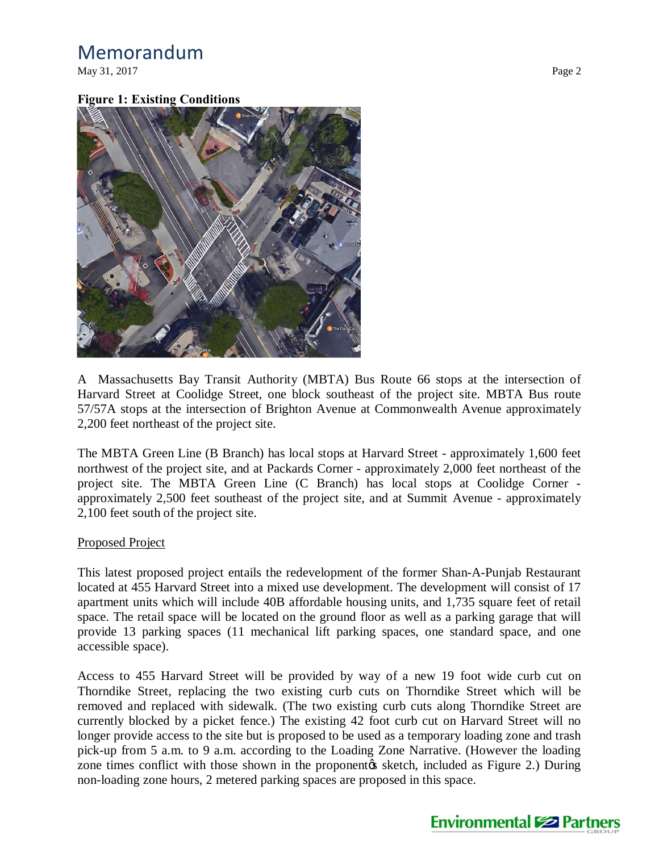May 31, 2017 Page 2

### **Figure 1: Existing Conditions**



A Massachusetts Bay Transit Authority (MBTA) Bus Route 66 stops at the intersection of Harvard Street at Coolidge Street, one block southeast of the project site. MBTA Bus route 57/57A stops at the intersection of Brighton Avenue at Commonwealth Avenue approximately 2,200 feet northeast of the project site.

The MBTA Green Line (B Branch) has local stops at Harvard Street - approximately 1,600 feet northwest of the project site, and at Packards Corner - approximately 2,000 feet northeast of the project site. The MBTA Green Line (C Branch) has local stops at Coolidge Corner approximately 2,500 feet southeast of the project site, and at Summit Avenue - approximately 2,100 feet south of the project site.

### Proposed Project

This latest proposed project entails the redevelopment of the former Shan-A-Punjab Restaurant located at 455 Harvard Street into a mixed use development. The development will consist of 17 apartment units which will include 40B affordable housing units, and 1,735 square feet of retail space. The retail space will be located on the ground floor as well as a parking garage that will provide 13 parking spaces (11 mechanical lift parking spaces, one standard space, and one accessible space).

Access to 455 Harvard Street will be provided by way of a new 19 foot wide curb cut on Thorndike Street, replacing the two existing curb cuts on Thorndike Street which will be removed and replaced with sidewalk. (The two existing curb cuts along Thorndike Street are currently blocked by a picket fence.) The existing 42 foot curb cut on Harvard Street will no longer provide access to the site but is proposed to be used as a temporary loading zone and trash pick-up from 5 a.m. to 9 a.m. according to the Loading Zone Narrative. (However the loading zone times conflict with those shown in the proponent ts sketch, included as Figure 2.) During non-loading zone hours, 2 metered parking spaces are proposed in this space.

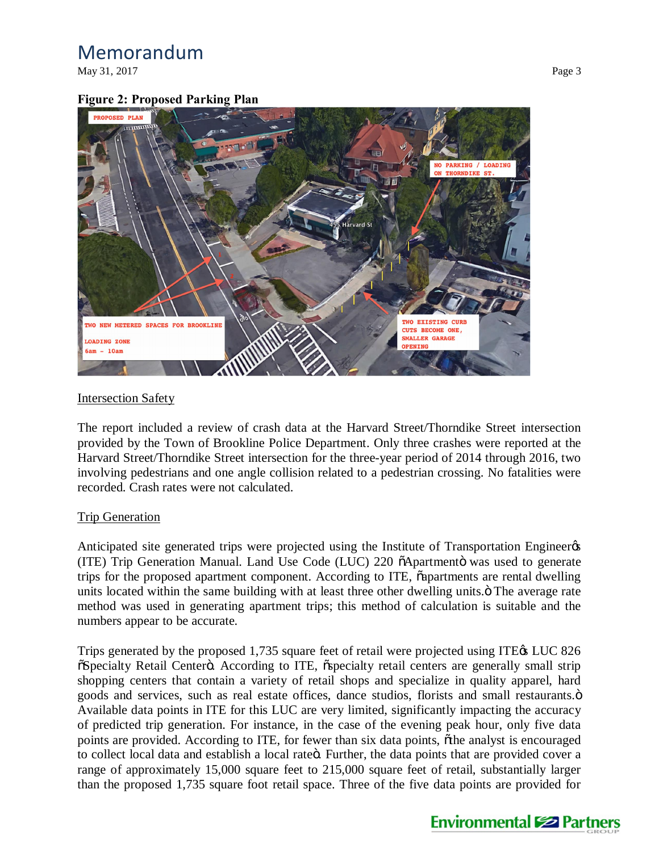May 31, 2017 **Page 3** 

### **Figure 2: Proposed Parking Plan**



### Intersection Safety

The report included a review of crash data at the Harvard Street/Thorndike Street intersection provided by the Town of Brookline Police Department. Only three crashes were reported at the Harvard Street/Thorndike Street intersection for the three-year period of 2014 through 2016, two involving pedestrians and one angle collision related to a pedestrian crossing. No fatalities were recorded. Crash rates were not calculated.

### Trip Generation

Anticipated site generated trips were projected using the Institute of Transportation Engineer (ITE) Trip Generation Manual. Land Use Code (LUC) 220  $\tilde{o}$ Apartmento was used to generate trips for the proposed apartment component. According to ITE,  $\tilde{\alpha}$  apartments are rental dwelling units located within the same building with at least three other dwelling units. $\ddot{o}$  The average rate method was used in generating apartment trips; this method of calculation is suitable and the numbers appear to be accurate.

Trips generated by the proposed 1,735 square feet of retail were projected using ITE $\alpha$  LUC 826  $\tilde{\text{a}}$ Specialty Retail Centerö. According to ITE,  $\tilde{\text{a}}$ specialty retail centers are generally small strip shopping centers that contain a variety of retail shops and specialize in quality apparel, hard goods and services, such as real estate offices, dance studios, florists and small restaurants. $\ddot{o}$ Available data points in ITE for this LUC are very limited, significantly impacting the accuracy of predicted trip generation. For instance, in the case of the evening peak hour, only five data points are provided. According to ITE, for fewer than six data points, othe analyst is encouraged to collect local data and establish a local rateö. Further, the data points that are provided cover a range of approximately 15,000 square feet to 215,000 square feet of retail, substantially larger than the proposed 1,735 square foot retail space. Three of the five data points are provided for

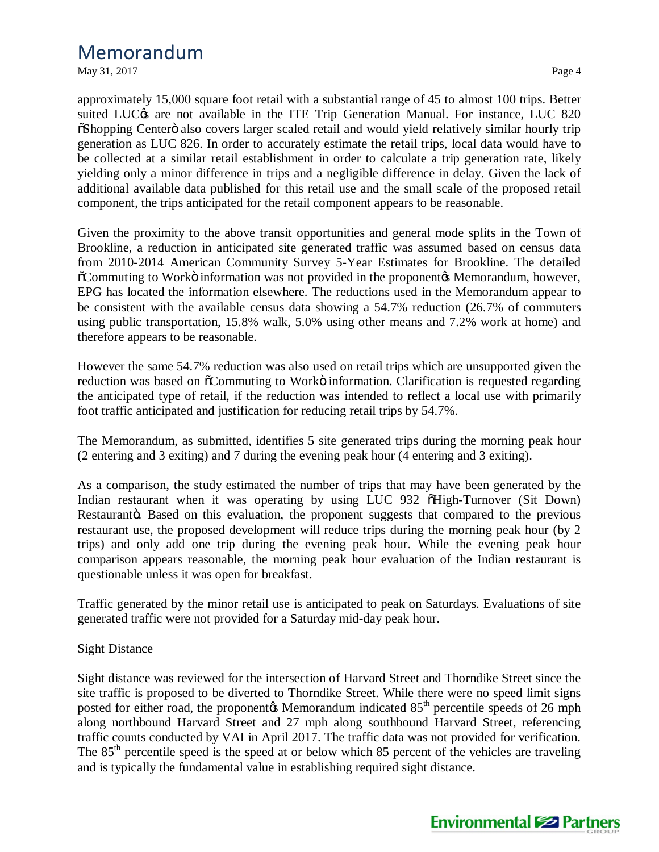May 31, 2017  $\qquad \qquad$  Page 4

approximately 15,000 square foot retail with a substantial range of 45 to almost 100 trips. Better suited LUC $\alpha$  are not available in the ITE Trip Generation Manual. For instance, LUC 820  $\delta$ Shopping Centero also covers larger scaled retail and would yield relatively similar hourly trip generation as LUC 826. In order to accurately estimate the retail trips, local data would have to be collected at a similar retail establishment in order to calculate a trip generation rate, likely yielding only a minor difference in trips and a negligible difference in delay. Given the lack of additional available data published for this retail use and the small scale of the proposed retail component, the trips anticipated for the retail component appears to be reasonable.

Given the proximity to the above transit opportunities and general mode splits in the Town of Brookline, a reduction in anticipated site generated traffic was assumed based on census data from 2010-2014 American Community Survey 5-Year Estimates for Brookline. The detailed  $\tilde{\text{o}}$ Commuting to Workö information was not provided in the proponent $\alpha$  Memorandum, however, EPG has located the information elsewhere. The reductions used in the Memorandum appear to be consistent with the available census data showing a 54.7% reduction (26.7% of commuters using public transportation, 15.8% walk, 5.0% using other means and 7.2% work at home) and therefore appears to be reasonable.

However the same 54.7% reduction was also used on retail trips which are unsupported given the reduction was based on  $\tilde{o}$ Commuting to Workö information. Clarification is requested regarding the anticipated type of retail, if the reduction was intended to reflect a local use with primarily foot traffic anticipated and justification for reducing retail trips by 54.7%.

The Memorandum, as submitted, identifies 5 site generated trips during the morning peak hour (2 entering and 3 exiting) and 7 during the evening peak hour (4 entering and 3 exiting).

As a comparison, the study estimated the number of trips that may have been generated by the Indian restaurant when it was operating by using LUC 932  $\tilde{o}$ High-Turnover (Sit Down) Restaurantö. Based on this evaluation, the proponent suggests that compared to the previous restaurant use, the proposed development will reduce trips during the morning peak hour (by 2 trips) and only add one trip during the evening peak hour. While the evening peak hour comparison appears reasonable, the morning peak hour evaluation of the Indian restaurant is questionable unless it was open for breakfast.

Traffic generated by the minor retail use is anticipated to peak on Saturdays. Evaluations of site generated traffic were not provided for a Saturday mid-day peak hour.

### Sight Distance

Sight distance was reviewed for the intersection of Harvard Street and Thorndike Street since the site traffic is proposed to be diverted to Thorndike Street. While there were no speed limit signs posted for either road, the proponent $\alpha$  Memorandum indicated  $85<sup>th</sup>$  percentile speeds of 26 mph along northbound Harvard Street and 27 mph along southbound Harvard Street, referencing traffic counts conducted by VAI in April 2017. The traffic data was not provided for verification. The 85<sup>th</sup> percentile speed is the speed at or below which 85 percent of the vehicles are traveling and is typically the fundamental value in establishing required sight distance.

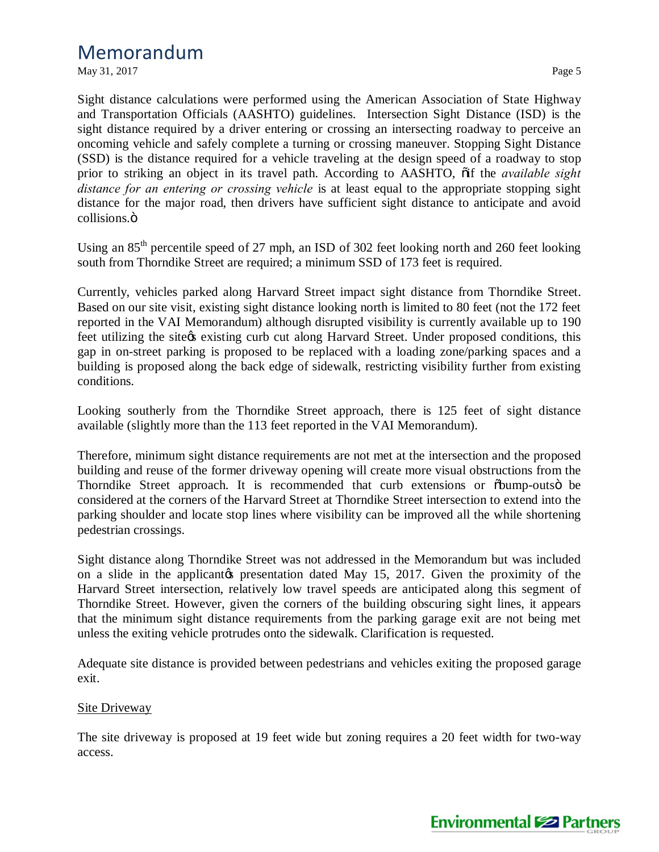May 31, 2017 Page 5

Sight distance calculations were performed using the American Association of State Highway and Transportation Officials (AASHTO) guidelines. Intersection Sight Distance (ISD) is the sight distance required by a driver entering or crossing an intersecting roadway to perceive an oncoming vehicle and safely complete a turning or crossing maneuver. Stopping Sight Distance (SSD) is the distance required for a vehicle traveling at the design speed of a roadway to stop prior to striking an object in its travel path. According to AASHTO,  $\ddot{\text{o}}$  if the *available sight distance for an entering or crossing vehicle* is at least equal to the appropriate stopping sight distance for the major road, then drivers have sufficient sight distance to anticipate and avoid collisions.<sub>Ö</sub>

Using an  $85<sup>th</sup>$  percentile speed of 27 mph, an ISD of 302 feet looking north and 260 feet looking south from Thorndike Street are required; a minimum SSD of 173 feet is required.

Currently, vehicles parked along Harvard Street impact sight distance from Thorndike Street. Based on our site visit, existing sight distance looking north is limited to 80 feet (not the 172 feet reported in the VAI Memorandum) although disrupted visibility is currently available up to 190 feet utilizing the site os existing curb cut along Harvard Street. Under proposed conditions, this gap in on-street parking is proposed to be replaced with a loading zone/parking spaces and a building is proposed along the back edge of sidewalk, restricting visibility further from existing conditions.

Looking southerly from the Thorndike Street approach, there is 125 feet of sight distance available (slightly more than the 113 feet reported in the VAI Memorandum).

Therefore, minimum sight distance requirements are not met at the intersection and the proposed building and reuse of the former driveway opening will create more visual obstructions from the Thorndike Street approach. It is recommended that curb extensions or  $\delta$ bump-outs  $\delta$  be considered at the corners of the Harvard Street at Thorndike Street intersection to extend into the parking shoulder and locate stop lines where visibility can be improved all the while shortening pedestrian crossings.

Sight distance along Thorndike Street was not addressed in the Memorandum but was included on a slide in the applicant the presentation dated May 15, 2017. Given the proximity of the Harvard Street intersection, relatively low travel speeds are anticipated along this segment of Thorndike Street. However, given the corners of the building obscuring sight lines, it appears that the minimum sight distance requirements from the parking garage exit are not being met unless the exiting vehicle protrudes onto the sidewalk. Clarification is requested.

Adequate site distance is provided between pedestrians and vehicles exiting the proposed garage exit.

#### **Site Driveway**

The site driveway is proposed at 19 feet wide but zoning requires a 20 feet width for two-way access.

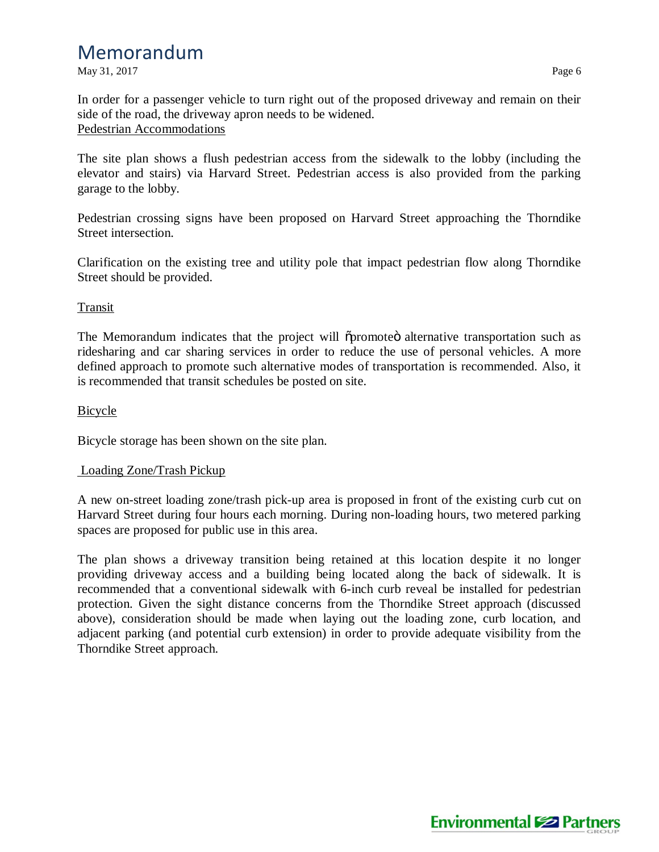May 31, 2017 **Page 6** 

In order for a passenger vehicle to turn right out of the proposed driveway and remain on their side of the road, the driveway apron needs to be widened. Pedestrian Accommodations

The site plan shows a flush pedestrian access from the sidewalk to the lobby (including the elevator and stairs) via Harvard Street. Pedestrian access is also provided from the parking garage to the lobby.

Pedestrian crossing signs have been proposed on Harvard Street approaching the Thorndike Street intersection.

Clarification on the existing tree and utility pole that impact pedestrian flow along Thorndike Street should be provided.

### Transit

The Memorandum indicates that the project will opromoteo alternative transportation such as ridesharing and car sharing services in order to reduce the use of personal vehicles. A more defined approach to promote such alternative modes of transportation is recommended. Also, it is recommended that transit schedules be posted on site.

### **Bicycle**

Bicycle storage has been shown on the site plan.

### Loading Zone/Trash Pickup

A new on-street loading zone/trash pick-up area is proposed in front of the existing curb cut on Harvard Street during four hours each morning. During non-loading hours, two metered parking spaces are proposed for public use in this area.

The plan shows a driveway transition being retained at this location despite it no longer providing driveway access and a building being located along the back of sidewalk. It is recommended that a conventional sidewalk with 6-inch curb reveal be installed for pedestrian protection. Given the sight distance concerns from the Thorndike Street approach (discussed above), consideration should be made when laying out the loading zone, curb location, and adjacent parking (and potential curb extension) in order to provide adequate visibility from the Thorndike Street approach.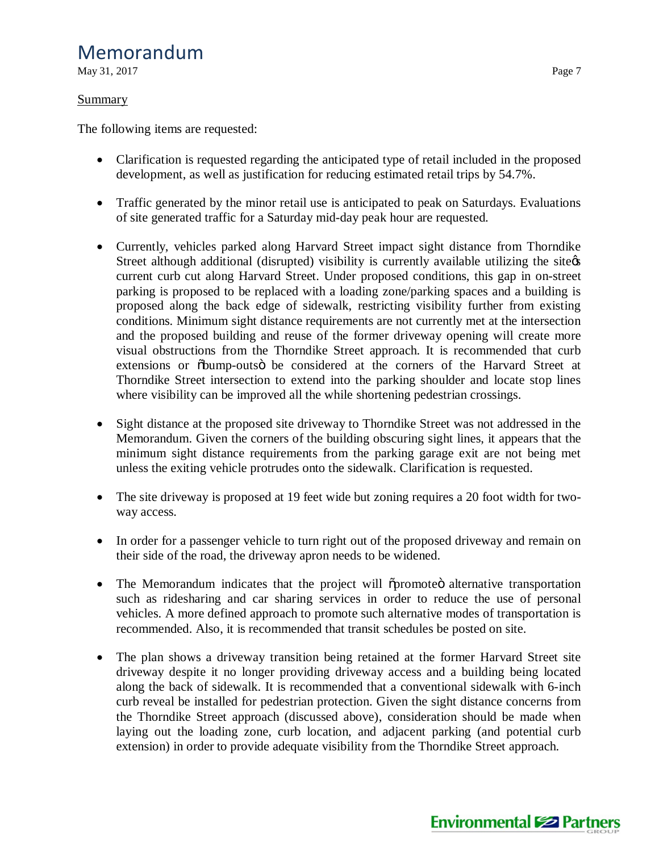May 31, 2017 **Page 7** 

### Summary

The following items are requested:

- · Clarification is requested regarding the anticipated type of retail included in the proposed development, as well as justification for reducing estimated retail trips by 54.7%.
- Traffic generated by the minor retail use is anticipated to peak on Saturdays. Evaluations of site generated traffic for a Saturday mid-day peak hour are requested.
- · Currently, vehicles parked along Harvard Street impact sight distance from Thorndike Street although additional (disrupted) visibility is currently available utilizing the site  $\alpha$ current curb cut along Harvard Street. Under proposed conditions, this gap in on-street parking is proposed to be replaced with a loading zone/parking spaces and a building is proposed along the back edge of sidewalk, restricting visibility further from existing conditions. Minimum sight distance requirements are not currently met at the intersection and the proposed building and reuse of the former driveway opening will create more visual obstructions from the Thorndike Street approach. It is recommended that curb extensions or  $\delta$ bump-outs $\delta$  be considered at the corners of the Harvard Street at Thorndike Street intersection to extend into the parking shoulder and locate stop lines where visibility can be improved all the while shortening pedestrian crossings.
- Sight distance at the proposed site driveway to Thorndike Street was not addressed in the Memorandum. Given the corners of the building obscuring sight lines, it appears that the minimum sight distance requirements from the parking garage exit are not being met unless the exiting vehicle protrudes onto the sidewalk. Clarification is requested.
- The site driveway is proposed at 19 feet wide but zoning requires a 20 foot width for twoway access.
- In order for a passenger vehicle to turn right out of the proposed driveway and remain on their side of the road, the driveway apron needs to be widened.
- The Memorandum indicates that the project will opromoted alternative transportation such as ridesharing and car sharing services in order to reduce the use of personal vehicles. A more defined approach to promote such alternative modes of transportation is recommended. Also, it is recommended that transit schedules be posted on site.
- The plan shows a driveway transition being retained at the former Harvard Street site driveway despite it no longer providing driveway access and a building being located along the back of sidewalk. It is recommended that a conventional sidewalk with 6-inch curb reveal be installed for pedestrian protection. Given the sight distance concerns from the Thorndike Street approach (discussed above), consideration should be made when laying out the loading zone, curb location, and adjacent parking (and potential curb extension) in order to provide adequate visibility from the Thorndike Street approach.